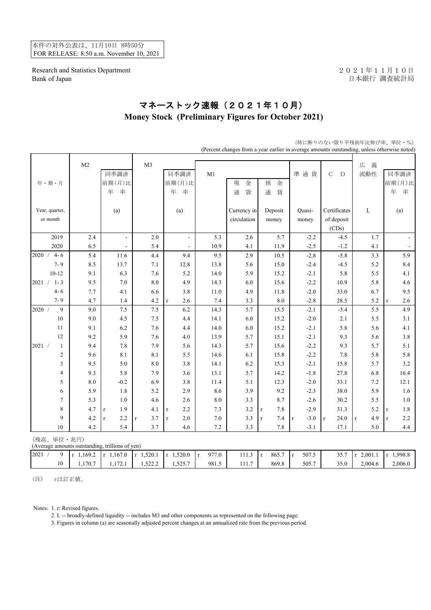本件の対外公表は、11月10日 8時50分 FOR RELEASE: 8:50 a.m. November 10, 2021

Research and Statistics Department 2021年11月10日 Bank of Japan <br>
日本銀行 調査統計局

## マネーストック速報(2021年10月) **Money Stock (Preliminary Figures for October 2021)**

|                                                               |                |                          |                     |                     |                       |             |                        |                       | (Percent changes from a year earlier in average amounts outstanding, unless otherwise noted) |                    |                     |
|---------------------------------------------------------------|----------------|--------------------------|---------------------|---------------------|-----------------------|-------------|------------------------|-----------------------|----------------------------------------------------------------------------------------------|--------------------|---------------------|
|                                                               | M <sub>2</sub> |                          | M <sub>3</sub>      |                     |                       |             |                        |                       |                                                                                              | 広<br>義             |                     |
|                                                               |                | 同季調済                     |                     | 同季調済                | M1                    |             |                        | 準通貨                   | $\mathsf{C}$<br>D                                                                            | 流動性                | 同季調済                |
| 年・期・月                                                         |                | 前期(月)比                   |                     | 前期(月)比              |                       | 現<br>金      | 預<br>金                 |                       |                                                                                              |                    | 前期(月)比              |
|                                                               |                | 年<br>率                   |                     | 率<br>年              |                       | 貨<br>通      | 貨<br>通                 |                       |                                                                                              |                    | 年<br>率              |
|                                                               |                |                          |                     |                     |                       |             |                        |                       |                                                                                              |                    |                     |
| Year, quarter,                                                |                | (a)                      |                     | (a)                 |                       | Currency in | Deposit                | Quasi-                | Certificates                                                                                 | L                  | (a)                 |
| or month                                                      |                |                          |                     |                     |                       | circulation | money                  | money                 | of deposit                                                                                   |                    |                     |
|                                                               |                |                          |                     |                     |                       |             |                        |                       | (CDs)                                                                                        |                    |                     |
| 2019                                                          | 2.4            | $\blacksquare$           | 2.0                 | $\Box$              | 5.3                   | 2.6         | 5.7                    | $-2.2$                | $-4.5$                                                                                       | 1.7                | $\blacksquare$      |
| 2020                                                          | 6.5            | $\overline{\phantom{a}}$ | 5.4                 |                     | 10.9                  | 4.1         | 11.9                   | $-2.5$                | $-1.2$                                                                                       | 4.1                | $\blacksquare$      |
| 2020 /<br>$4 - 6$                                             | 5.4            | 11.6                     | 4.4                 | 9.4                 | 9.5                   | 2.9         | 10.5                   | $-2.8$                | $-5.8$                                                                                       | $3.3\,$            | 5.9                 |
| $7 - 9$                                                       | 8.5            | 13.7                     | 7.1                 | 12.8                | 13.8                  | 5.6         | 15.0                   | $-2.4$                | $-4.5$                                                                                       | 5.2                | 8.4                 |
| $10 - 12$                                                     | 9.1            | 6.3                      | 7.6                 | 5.2                 | 14.0                  | 5.9         | 15.2                   | $-2.1$                | 5.8                                                                                          | 5.5                | 4.1                 |
| $1 - 3$<br>2021 /                                             | 9.5            | $7.0\,$                  | 8.0                 | 4.9                 | 14.3                  | 6.0         | 15.6                   | $-2.2$                | 10.9                                                                                         | 5.8                | 4.6                 |
| $4 - 6$                                                       | 7.7            | 4.1                      | 6.6                 | 3.8                 | 11.0                  | 4.9         | 11.8                   | $-2.0$                | 33.0                                                                                         | 6.7                | 9.5                 |
| $7 - 9$                                                       | 4.7            | $1.4$                    | 4.2                 | 2.6<br>$\mathbf r$  | 7.4                   | 3.3         | $8.0\,$                | $-2.8$                | 28.5                                                                                         | 5.2                | 2.6<br>$\mathbf{r}$ |
| 9<br>2020 /                                                   | 9.0            | 7.5                      | 7.5                 | $6.2\,$             | 14.3                  | 5.7         | 15.5                   | $-2.1$                | $-3.4$                                                                                       | 5.5                | 4.9                 |
| $10\,$                                                        | 9.0            | 4.5                      | 7.5                 | 4.4                 | 14.1                  | 6.0         | 15.2                   | $-2.0$                | 2.1                                                                                          | 5.5                | 3.1                 |
| 11                                                            | 9.1            | 6.2                      | 7.6                 | 4.4                 | 14.0                  | 6.0         | 15.2                   | $-2.1$                | 5.8                                                                                          | 5.6                | 4.1                 |
| 12                                                            | 9.2            | 5.9                      | 7.6                 | 4.0                 | 13.9                  | 5.7         | 15.1                   | $-2.1$                | 9.3                                                                                          | 5.6                | 3.8                 |
| 2021 /<br>$\mathbf{1}$                                        | 9.4            | $7.8\,$                  | 7.9                 | 5.6                 | 14.3                  | 5.7         | 15.6                   | $-2.2$                | 9.3                                                                                          | 5.7                | 5.1                 |
| $\overline{c}$                                                | 9.6            | 8.1                      | 8.1                 | 5.5                 | 14.6                  | 6.1         | 15.8                   | $-2.2$                | $7.8\,$                                                                                      | 5.8                | 5.8                 |
| 3                                                             | 9.5            | 5.0                      | 8.0                 | 3.8                 | 14.1                  | 6.2         | 15.3                   | $-2.1$                | 15.8                                                                                         | 5.7                | 3.2                 |
| 4                                                             | 9.3            | 5.8                      | 7.9                 | 3.6                 | 13.1                  | 5.7         | 14.2                   | $-1.8$                | 27.8                                                                                         | 6.8                | 16.4                |
| 5                                                             | 8.0            | $-0.2$                   | 6.9                 | 3.8                 | 11.4                  | 5.1         | 12.3                   | $-2.0$                | 33.1                                                                                         | 7.2                | 12.1                |
| $\epsilon$                                                    | 5.9            | 1.8                      | 5.2                 | 2.9                 | 8.6                   | 3.9         | 9.2                    | $-2.3$                | 38.0                                                                                         | 5.9                | 1.6                 |
| $\overline{7}$                                                | 5.3            | $1.0\,$                  | 4.6                 | 2.6                 | $\ \ 8.0$             | 3.3         | 8.7                    | $-2.6$                | 30.2                                                                                         | 5.5                | $1.0\,$             |
| 8                                                             | 4.7            | 1.9<br>$\mathbf{r}$      | 4.1                 | 2.2<br>$\mathbf{r}$ | 7.3                   | 3.2         | 7.8<br>$\bf r$         | $-2.9$                | 31.3                                                                                         | 5.2                | 1.8<br>$\mathbf r$  |
| 9                                                             | 4.2            | 2.2<br>$\mathbf{r}$      | 3.7<br>$\mathbf{r}$ | $2.0\,$<br>$\bf r$  | 7.0                   | 3.3         | 7.4<br>$\mathbf r$     | $-3.0$<br>$\mathbf r$ | 24.0<br>$\mathbf{r}$                                                                         | 4.9<br>$\mathbf r$ | 2.2<br>$\mathbf{r}$ |
| 10                                                            | 4.2            | 5.4                      | 3.7                 | 4.6                 | 7.2                   | 3.3         | 7.8                    | $-3.1$                | 17.1                                                                                         | 5.0                | 4.4                 |
| (残高、単位·兆円)<br>(Average amounts outstanding, trillions of yen) |                |                          |                     |                     |                       |             |                        |                       |                                                                                              |                    |                     |
| 9<br>2021 /                                                   | $r$ 1,169.2    | $r$ 1,167.0              | $r$ 1,520.1         | $r$ 1,520.0         | 977.0<br>$\mathbf{r}$ | 111.3       | 865.7<br>$\dot{\rm r}$ | 507.5<br>$\mathbf r$  | 35.7                                                                                         | $r$ 2,001.1        | $r$ 1,998.8         |
| $10\,$                                                        | 1,170.7        | 1,172.1                  | 1,522.2             | 1,525.7             | 981.5                 | 111.7       | 869.8                  | 505.7                 | 35.0                                                                                         | 2,004.6            | 2,006.0             |

(特に断りのない限り平残前年比伸び率、単位・%)

(注) rは訂正値。

Notes: 1. r: Revised figures.

2. L -- broadly-defined liquidity -- includes M3 and other components as represented on the following page.

3. Figures in column (a) are seasonally adjusted percent changes at an annualized rate from the previous period.